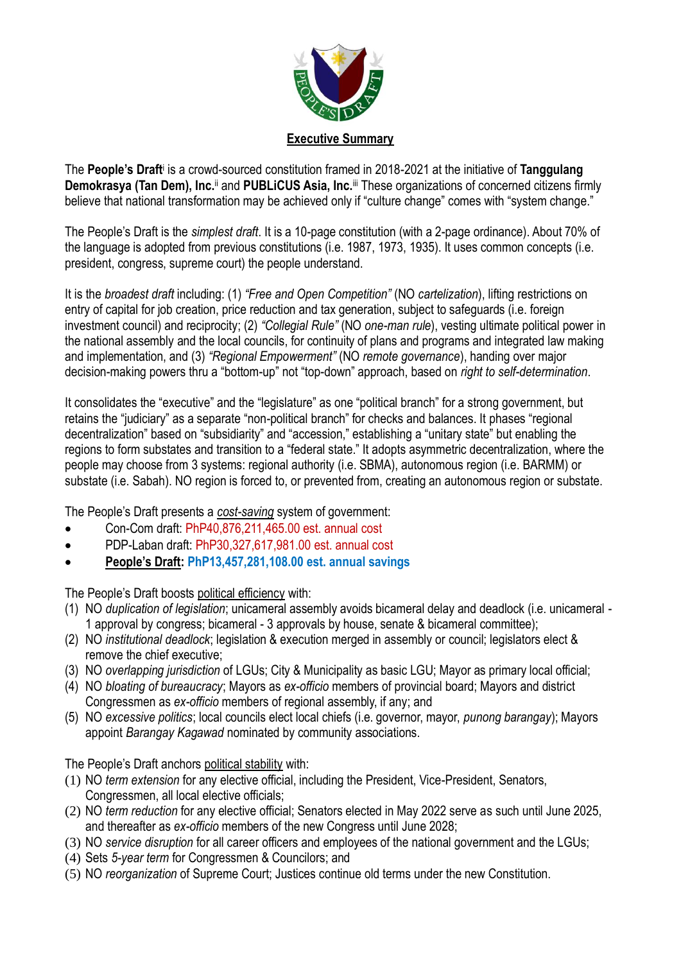

The People's Draft<sup>i</sup> is a crowd-sourced constitution framed in 2018-2021 at the initiative of Tanggulang **Demokrasya (Tan Dem), Inc.**ii and **PUBLiCUS Asia, Inc.**iii These organizations of concerned citizens firmly believe that national transformation may be achieved only if "culture change" comes with "system change."

The People's Draft is the *simplest draft*. It is a 10-page constitution (with a 2-page ordinance). About 70% of the language is adopted from previous constitutions (i.e. 1987, 1973, 1935). It uses common concepts (i.e. president, congress, supreme court) the people understand.

It is the *broadest draft* including: (1) *"Free and Open Competition"* (NO *cartelization*), lifting restrictions on entry of capital for job creation, price reduction and tax generation, subject to safeguards (i.e. foreign investment council) and reciprocity; (2) *"Collegial Rule"* (NO *one-man rule*), vesting ultimate political power in the national assembly and the local councils, for continuity of plans and programs and integrated law making and implementation, and (3) *"Regional Empowerment"* (NO *remote governance*), handing over major decision-making powers thru a "bottom-up" not "top-down" approach, based on *right to self-determination*.

It consolidates the "executive" and the "legislature" as one "political branch" for a strong government, but retains the "judiciary" as a separate "non-political branch" for checks and balances. It phases "regional decentralization" based on "subsidiarity" and "accession," establishing a "unitary state" but enabling the regions to form substates and transition to a "federal state." It adopts asymmetric decentralization, where the people may choose from 3 systems: regional authority (i.e. SBMA), autonomous region (i.e. BARMM) or substate (i.e. Sabah). NO region is forced to, or prevented from, creating an autonomous region or substate.

The People's Draft presents a *cost-saving* system of government:

- Con-Com draft: PhP40,876,211,465.00 est. annual cost
- PDP-Laban draft: PhP30,327,617,981.00 est. annual cost
- **People's Draft: PhP13,457,281,108.00 est. annual savings**

The People's Draft boosts political efficiency with:

- (1) NO *duplication of legislation*; unicameral assembly avoids bicameral delay and deadlock (i.e. unicameral 1 approval by congress; bicameral - 3 approvals by house, senate & bicameral committee);
- (2) NO *institutional deadlock*; legislation & execution merged in assembly or council; legislators elect & remove the chief executive;
- (3) NO *overlapping jurisdiction* of LGUs; City & Municipality as basic LGU; Mayor as primary local official;
- (4) NO *bloating of bureaucracy*; Mayors as *ex-officio* members of provincial board; Mayors and district Congressmen as *ex-officio* members of regional assembly, if any; and
- (5) NO *excessive politics*; local councils elect local chiefs (i.e. governor, mayor, *punong barangay*); Mayors appoint *Barangay Kagawad* nominated by community associations.

The People's Draft anchors political stability with:

- (1) NO *term extension* for any elective official, including the President, Vice-President, Senators, Congressmen, all local elective officials:
- (2) NO *term reduction* for any elective official; Senators elected in May 2022 serve as such until June 2025, and thereafter as *ex-officio* members of the new Congress until June 2028;
- (3) NO *service disruption* for all career officers and employees of the national government and the LGUs;
- (4) Sets *5-year term* for Congressmen & Councilors; and
- (5) NO *reorganization* of Supreme Court; Justices continue old terms under the new Constitution.